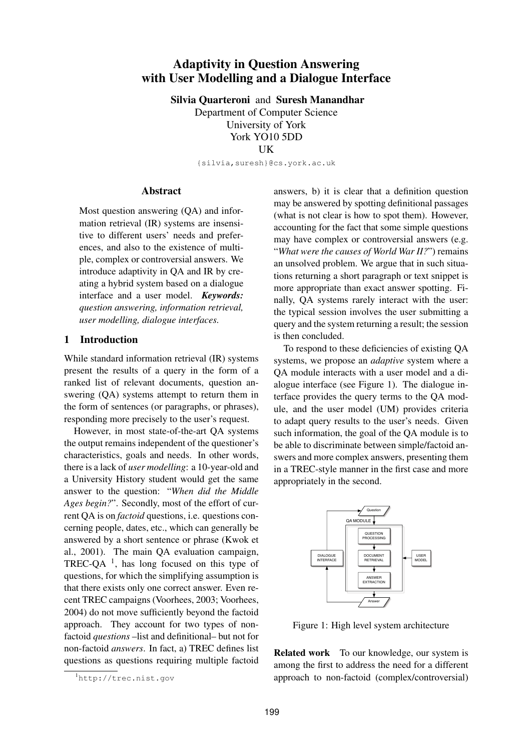# **Adaptivity in Question Answering with User Modelling and a Dialogue Interface**

**Silvia Quarteroni** and **Suresh Manandhar** Department of Computer Science University of York York YO10 5DD

UK

{silvia,suresh}@cs.york.ac.uk

## **Abstract**

Most question answering (QA) and information retrieval (IR) systems are insensitive to different users' needs and preferences, and also to the existence of multiple, complex or controversial answers. We introduce adaptivity in QA and IR by creating a hybrid system based on a dialogue interface and a user model. *Keywords: question answering, information retrieval, user modelling, dialogue interfaces.*

### **1 Introduction**

While standard information retrieval (IR) systems present the results of a query in the form of a ranked list of relevant documents, question answering (QA) systems attempt to return them in the form of sentences (or paragraphs, or phrases), responding more precisely to the user's request.

However, in most state-of-the-art QA systems the output remains independent of the questioner's characteristics, goals and needs. In other words, there is a lack of *user modelling*: a 10-year-old and a University History student would get the same answer to the question: "*When did the Middle Ages begin?*". Secondly, most of the effort of current QA is on *factoid* questions, i.e. questions concerning people, dates, etc., which can generally be answered by a short sentence or phrase (Kwok et al., 2001). The main QA evaluation campaign, TREC-QA $^{-1}$ , has long focused on this type of questions, for which the simplifying assumption is that there exists only one correct answer. Even recent TREC campaigns (Voorhees, 2003; Voorhees, 2004) do not move sufficiently beyond the factoid approach. They account for two types of nonfactoid *questions* –list and definitional– but not for non-factoid *answers*. In fact, a) TREC defines list questions as questions requiring multiple factoid answers, b) it is clear that a definition question may be answered by spotting definitional passages (what is not clear is how to spot them). However, accounting for the fact that some simple questions may have complex or controversial answers (e.g. "*What were the causes of World War II?*") remains an unsolved problem. We argue that in such situations returning a short paragraph or text snippet is more appropriate than exact answer spotting. Finally, QA systems rarely interact with the user: the typical session involves the user submitting a query and the system returning a result; the session is then concluded.

To respond to these deficiencies of existing QA systems, we propose an *adaptive* system where a QA module interacts with a user model and a dialogue interface (see Figure 1). The dialogue interface provides the query terms to the QA module, and the user model (UM) provides criteria to adapt query results to the user's needs. Given such information, the goal of the QA module is to be able to discriminate between simple/factoid answers and more complex answers, presenting them in a TREC-style manner in the first case and more appropriately in the second.



Figure 1: High level system architecture

**Related work** To our knowledge, our system is among the first to address the need for a different approach to non-factoid (complex/controversial)

<sup>1</sup>http://trec.nist.gov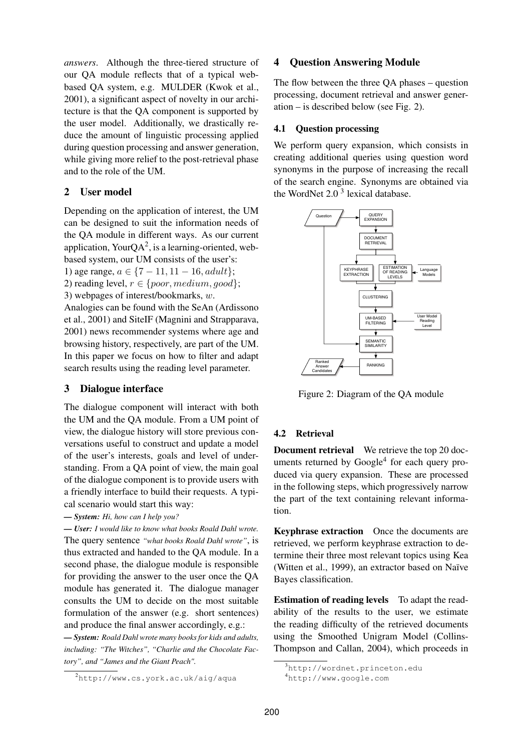*answers*. Although the three-tiered structure of our QA module reflects that of a typical webbased QA system, e.g. MULDER (Kwok et al., 2001), a significant aspect of novelty in our architecture is that the QA component is supported by the user model. Additionally, we drastically reduce the amount of linguistic processing applied during question processing and answer generation, while giving more relief to the post-retrieval phase and to the role of the UM.

# **2 User model**

Depending on the application of interest, the UM can be designed to suit the information needs of the QA module in different ways. As our current application, YourQA<sup>2</sup>, is a learning-oriented, webbased system, our UM consists of the user's:

1) age range,  $a \in \{7 - 11, 11 - 16, adult\};$ 

2) reading level,  $r \in \{poor, medium, good\};$ 

3) webpages of interest/bookmarks, w.

Analogies can be found with the SeAn (Ardissono et al., 2001) and SiteIF (Magnini and Strapparava, 2001) news recommender systems where age and browsing history, respectively, are part of the UM. In this paper we focus on how to filter and adapt search results using the reading level parameter.

# **3 Dialogue interface**

The dialogue component will interact with both the UM and the QA module. From a UM point of view, the dialogue history will store previous conversations useful to construct and update a model of the user's interests, goals and level of understanding. From a QA point of view, the main goal of the dialogue component is to provide users with a friendly interface to build their requests. A typical scenario would start this way:

*— System: Hi, how can I help you?*

*— User: I would like to know what books Roald Dahl wrote.* The query sentence *"what books Roald Dahl wrote"*, is thus extracted and handed to the QA module. In a second phase, the dialogue module is responsible for providing the answer to the user once the QA module has generated it. The dialogue manager consults the UM to decide on the most suitable formulation of the answer (e.g. short sentences) and produce the final answer accordingly, e.g.:

*— System: Roald Dahl wrote many books for kids and adults, including: "The Witches", "Charlie and the Chocolate Factory", and "James and the Giant Peach".*

# **4 Question Answering Module**

The flow between the three QA phases – question processing, document retrieval and answer generation – is described below (see Fig. 2).

### **4.1 Question processing**

We perform query expansion, which consists in creating additional queries using question word synonyms in the purpose of increasing the recall of the search engine. Synonyms are obtained via the WordNet  $2.0<sup>3</sup>$  lexical database.



Figure 2: Diagram of the QA module

# **4.2 Retrieval**

**Document retrieval** We retrieve the top 20 documents returned by Google<sup>4</sup> for each query produced via query expansion. These are processed in the following steps, which progressively narrow the part of the text containing relevant information.

**Keyphrase extraction** Once the documents are retrieved, we perform keyphrase extraction to determine their three most relevant topics using Kea (Witten et al., 1999), an extractor based on Naïve Bayes classification.

**Estimation of reading levels** To adapt the readability of the results to the user, we estimate the reading difficulty of the retrieved documents using the Smoothed Unigram Model (Collins-Thompson and Callan, 2004), which proceeds in

<sup>2</sup>http://www.cs.york.ac.uk/aig/aqua

<sup>3</sup>http://wordnet.princeton.edu

<sup>4</sup>http://www.google.com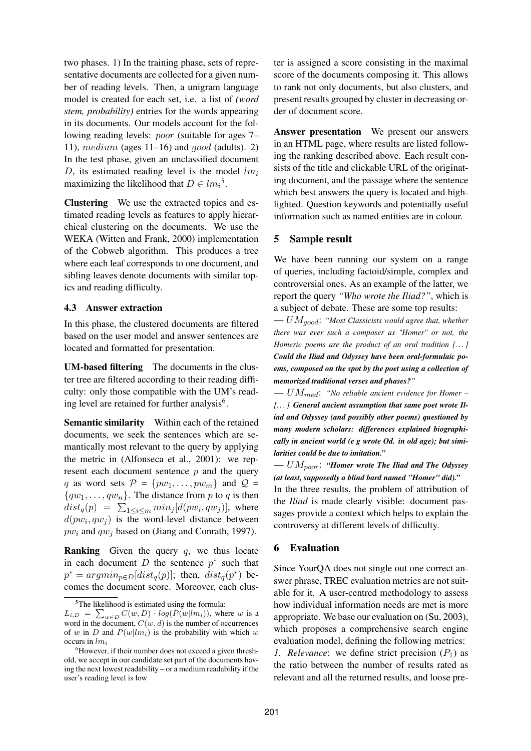two phases. 1) In the training phase, sets of representative documents are collected for a given number of reading levels. Then, a unigram language model is created for each set, i.e. a list of *(word stem, probability)* entries for the words appearing in its documents. Our models account for the following reading levels: poor (suitable for ages 7– 11), medium (ages  $11-16$ ) and good (adults). 2) In the test phase, given an unclassified document D, its estimated reading level is the model  $lm_i$ maximizing the likelihood that  $D \in l m_i^5$ .

**Clustering** We use the extracted topics and estimated reading levels as features to apply hierarchical clustering on the documents. We use the WEKA (Witten and Frank, 2000) implementation of the Cobweb algorithm. This produces a tree where each leaf corresponds to one document, and sibling leaves denote documents with similar topics and reading difficulty.

#### **4.3 Answer extraction**

In this phase, the clustered documents are filtered based on the user model and answer sentences are located and formatted for presentation.

**UM-based filtering** The documents in the cluster tree are filtered according to their reading difficulty: only those compatible with the UM's reading level are retained for further analysis<sup>6</sup>.

**Semantic similarity** Within each of the retained documents, we seek the sentences which are semantically most relevant to the query by applying the metric in (Alfonseca et al., 2001): we represent each document sentence  $p$  and the query q as word sets  $\mathcal{P} = \{pw_1,\ldots,pw_m\}$  and  $\mathcal{Q} =$  ${qw_1, \ldots, qw_n}$ . The distance from p to q is then  $dist_q(p) = \sum_{1 \leq i \leq m} min_j [d(pw_i, qw_j)],$  where  $d(pw_i, qw_j)$  is the word-level distance between  $pw_i$  and  $qw_j$  based on (Jiang and Conrath, 1997).

**Ranking** Given the query q, we thus locate in each document D the sentence  $p^*$  such that  $p^* = argmin_{p \in D}[dist_q(p)];$  then,  $dist_q(p^*)$  becomes the document score. Moreover, each cluster is assigned a score consisting in the maximal score of the documents composing it. This allows to rank not only documents, but also clusters, and present results grouped by cluster in decreasing order of document score.

**Answer presentation** We present our answers in an HTML page, where results are listed following the ranking described above. Each result consists of the title and clickable URL of the originating document, and the passage where the sentence which best answers the query is located and highlighted. Question keywords and potentially useful information such as named entities are in colour.

#### **5 Sample result**

We have been running our system on a range of queries, including factoid/simple, complex and controversial ones. As an example of the latter, we report the query *"Who wrote the Iliad?"*, which is a subject of debate. These are some top results: — UMgood: *"Most Classicists would agree that, whether*

*there was ever such a composer as "Homer" or not, the Homeric poems are the product of an oral tradition [. . . ] Could the Iliad and Odyssey have been oral-formulaic poems, composed on the spot by the poet using a collection of memorized traditional verses and phases?"*

— UMmed: *"No reliable ancient evidence for Homer – [. . . ] General ancient assumption that same poet wrote Iliad and Odyssey (and possibly other poems) questioned by many modern scholars: differences explained biographically in ancient world (e g wrote Od. in old age); but similarities could be due to imitation."*

— UMpoor: *"Homer wrote The Iliad and The Odyssey (at least, supposedly a blind bard named "Homer" did)."* In the three results, the problem of attribution of the *Iliad* is made clearly visible: document passages provide a context which helps to explain the controversy at different levels of difficulty.

#### **6 Evaluation**

Since YourQA does not single out one correct answer phrase, TREC evaluation metrics are not suitable for it. A user-centred methodology to assess how individual information needs are met is more appropriate. We base our evaluation on (Su, 2003), which proposes a comprehensive search engine evaluation model, defining the following metrics: *1. Relevance*: we define strict precision  $(P_1)$  as the ratio between the number of results rated as relevant and all the returned results, and loose pre-

<sup>&</sup>lt;sup>5</sup>The likelihood is estimated using the formula:

 $L_{i,D} = \sum_{w \in D} C(w, D) \cdot log(P(w|lm_i))$ , where w is a word in the document,  $C(w, d)$  is the number of occurrences of w in D and  $P(w|lm_i)$  is the probability with which w occurs in  $lm_i$ 

<sup>&</sup>lt;sup>6</sup>However, if their number does not exceed a given threshold, we accept in our candidate set part of the documents having the next lowest readability – or a medium readability if the user's reading level is low